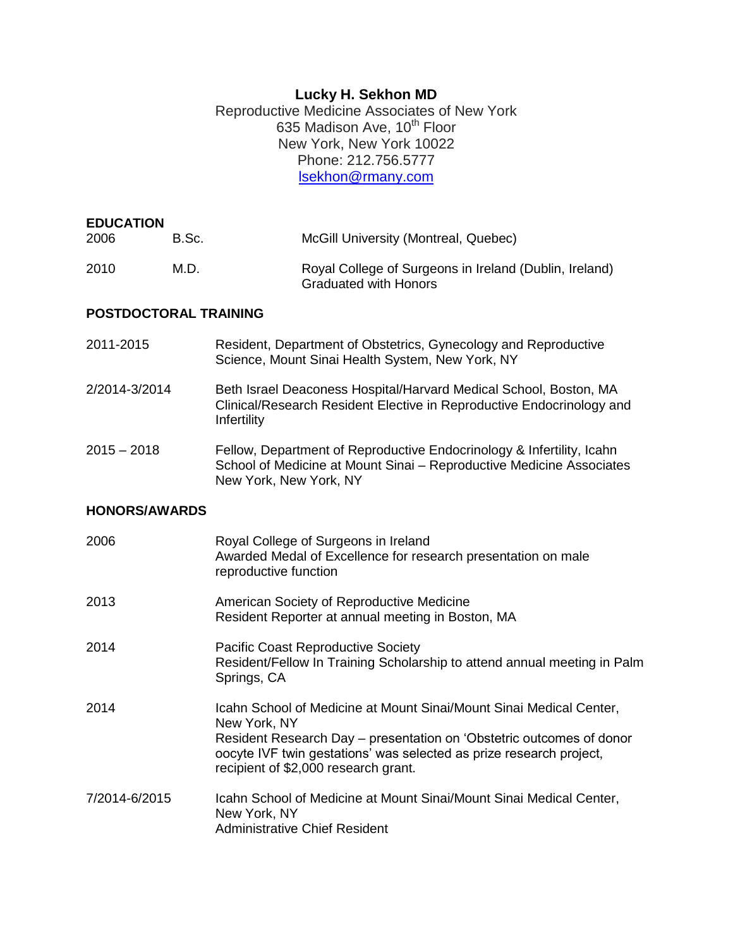# **Lucky H. Sekhon MD**

Reproductive Medicine Associates of New York 635 Madison Ave, 10<sup>th</sup> Floor New York, New York 10022 Phone: 212.756.5777 [lsekhon@rmany.com](mailto:lsekhon@rmany.com)

| <b>EDUCATION</b><br>2006 | B.Sc. | McGill University (Montreal, Quebec)                                                   |
|--------------------------|-------|----------------------------------------------------------------------------------------|
| 2010                     | M.D.  | Royal College of Surgeons in Ireland (Dublin, Ireland)<br><b>Graduated with Honors</b> |

#### **POSTDOCTORAL TRAINING**

- 2011-2015 Resident, Department of Obstetrics, Gynecology and Reproductive Science, Mount Sinai Health System, New York, NY
- 2/2014-3/2014 Beth Israel Deaconess Hospital/Harvard Medical School, Boston, MA Clinical/Research Resident Elective in Reproductive Endocrinology and **Infertility**
- 2015 2018 Fellow, Department of Reproductive Endocrinology & Infertility, Icahn School of Medicine at Mount Sinai – Reproductive Medicine Associates New York, New York, NY

#### **HONORS/AWARDS**

| 2006          | Royal College of Surgeons in Ireland<br>Awarded Medal of Excellence for research presentation on male<br>reproductive function                                                                                                                                             |
|---------------|----------------------------------------------------------------------------------------------------------------------------------------------------------------------------------------------------------------------------------------------------------------------------|
| 2013          | American Society of Reproductive Medicine<br>Resident Reporter at annual meeting in Boston, MA                                                                                                                                                                             |
| 2014          | <b>Pacific Coast Reproductive Society</b><br>Resident/Fellow In Training Scholarship to attend annual meeting in Palm<br>Springs, CA                                                                                                                                       |
| 2014          | Icahn School of Medicine at Mount Sinai/Mount Sinai Medical Center,<br>New York, NY<br>Resident Research Day - presentation on 'Obstetric outcomes of donor<br>oocyte IVF twin gestations' was selected as prize research project,<br>recipient of \$2,000 research grant. |
| 7/2014-6/2015 | Icahn School of Medicine at Mount Sinai/Mount Sinai Medical Center,<br>New York, NY<br>Administrative Chief Resident                                                                                                                                                       |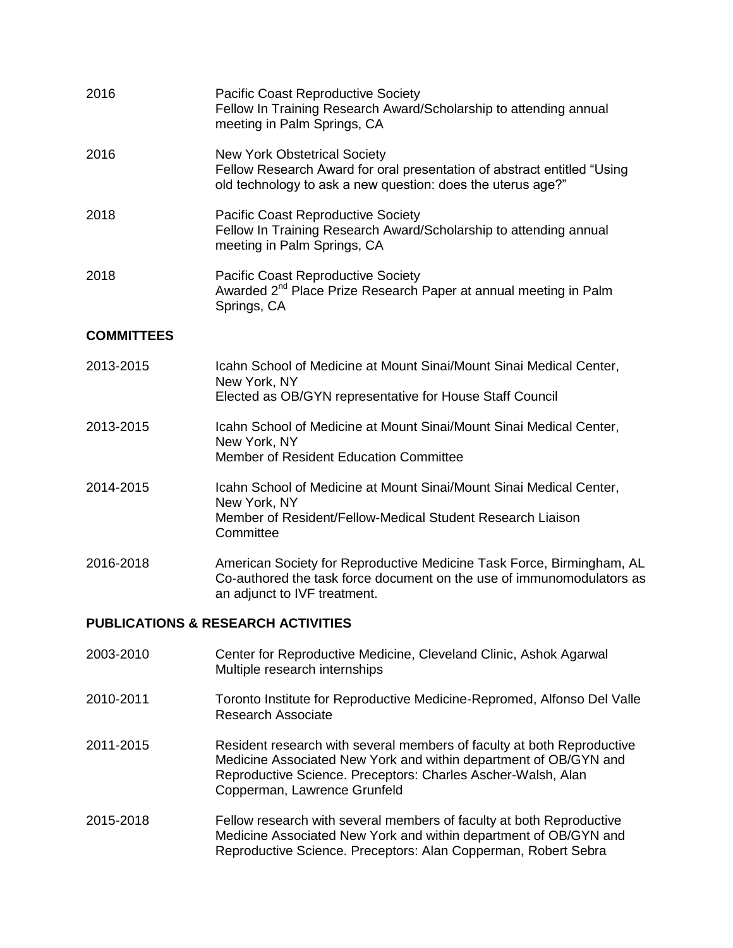| 2016                                          | <b>Pacific Coast Reproductive Society</b><br>Fellow In Training Research Award/Scholarship to attending annual<br>meeting in Palm Springs, CA                                  |  |
|-----------------------------------------------|--------------------------------------------------------------------------------------------------------------------------------------------------------------------------------|--|
| 2016                                          | <b>New York Obstetrical Society</b><br>Fellow Research Award for oral presentation of abstract entitled "Using<br>old technology to ask a new question: does the uterus age?"  |  |
| 2018                                          | <b>Pacific Coast Reproductive Society</b><br>Fellow In Training Research Award/Scholarship to attending annual<br>meeting in Palm Springs, CA                                  |  |
| 2018                                          | <b>Pacific Coast Reproductive Society</b><br>Awarded 2 <sup>nd</sup> Place Prize Research Paper at annual meeting in Palm<br>Springs, CA                                       |  |
| <b>COMMITTEES</b>                             |                                                                                                                                                                                |  |
| 2013-2015                                     | Icahn School of Medicine at Mount Sinai/Mount Sinai Medical Center,<br>New York, NY<br>Elected as OB/GYN representative for House Staff Council                                |  |
| 2013-2015                                     | Icahn School of Medicine at Mount Sinai/Mount Sinai Medical Center,<br>New York, NY<br>Member of Resident Education Committee                                                  |  |
| 2014-2015                                     | Icahn School of Medicine at Mount Sinai/Mount Sinai Medical Center,<br>New York, NY<br>Member of Resident/Fellow-Medical Student Research Liaison<br>Committee                 |  |
| 2016-2018                                     | American Society for Reproductive Medicine Task Force, Birmingham, AL<br>Co-authored the task force document on the use of immunomodulators as<br>an adjunct to IVF treatment. |  |
| <b>PUBLICATIONS &amp; RESEARCH ACTIVITIES</b> |                                                                                                                                                                                |  |
| 2003-2010                                     | Center for Reproductive Medicine, Cleveland Clinic, Ashok Agarwal<br>Multiple research internships                                                                             |  |

- 2010-2011 Toronto Institute for Reproductive Medicine-Repromed, Alfonso Del Valle Research Associate
- 2011-2015 Resident research with several members of faculty at both Reproductive Medicine Associated New York and within department of OB/GYN and Reproductive Science. Preceptors: Charles Ascher-Walsh, Alan Copperman, Lawrence Grunfeld
- 2015-2018 Fellow research with several members of faculty at both Reproductive Medicine Associated New York and within department of OB/GYN and Reproductive Science. Preceptors: Alan Copperman, Robert Sebra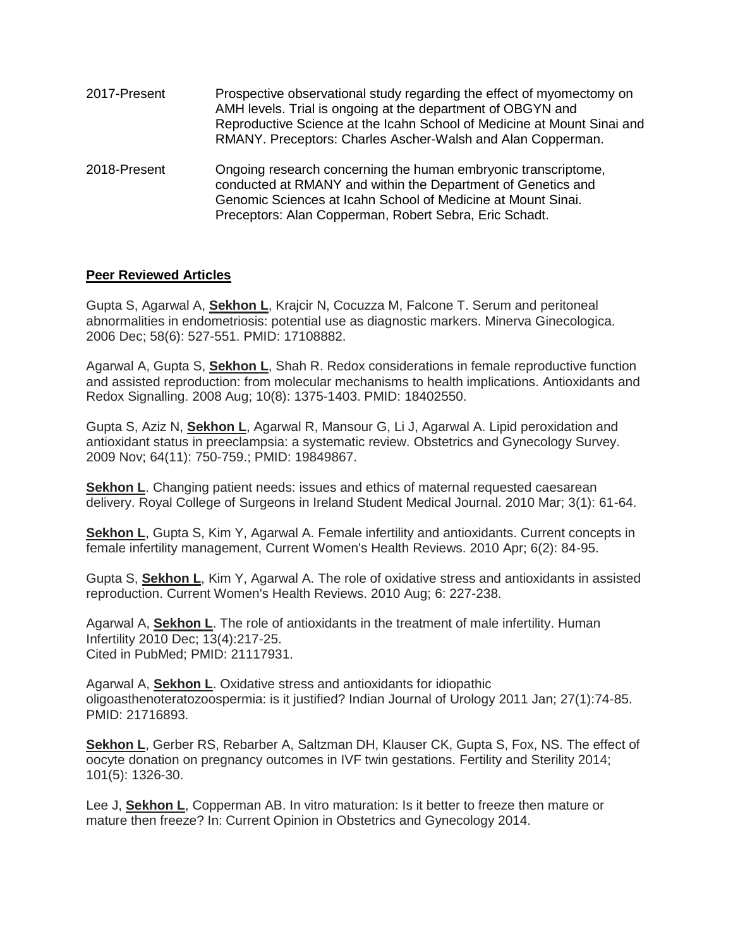| 2017-Present | Prospective observational study regarding the effect of myomectomy on<br>AMH levels. Trial is ongoing at the department of OBGYN and<br>Reproductive Science at the Icahn School of Medicine at Mount Sinai and<br>RMANY. Preceptors: Charles Ascher-Walsh and Alan Copperman. |
|--------------|--------------------------------------------------------------------------------------------------------------------------------------------------------------------------------------------------------------------------------------------------------------------------------|
| 2018-Present | Ongoing research concerning the human embryonic transcriptome,<br>conducted at RMANY and within the Department of Genetics and<br>Genomic Sciences at Icahn School of Medicine at Mount Sinai.<br>Preceptors: Alan Copperman, Robert Sebra, Eric Schadt.                       |

## **Peer Reviewed Articles**

Gupta S, Agarwal A, **Sekhon L**, Krajcir N, Cocuzza M, Falcone T. Serum and peritoneal abnormalities in endometriosis: potential use as diagnostic markers. Minerva Ginecologica. 2006 Dec; 58(6): 527-551. PMID: 17108882.

Agarwal A, Gupta S, **Sekhon L**, Shah R. Redox considerations in female reproductive function and assisted reproduction: from molecular mechanisms to health implications. Antioxidants and Redox Signalling. 2008 Aug; 10(8): 1375-1403. PMID: 18402550.

Gupta S, Aziz N, **Sekhon L**, Agarwal R, Mansour G, Li J, Agarwal A. Lipid peroxidation and antioxidant status in preeclampsia: a systematic review. Obstetrics and Gynecology Survey. 2009 Nov; 64(11): 750-759.; PMID: 19849867.

**Sekhon L**. Changing patient needs: issues and ethics of maternal requested caesarean delivery. Royal College of Surgeons in Ireland Student Medical Journal. 2010 Mar; 3(1): 61-64.

**Sekhon L**, Gupta S, Kim Y, Agarwal A. Female infertility and antioxidants. Current concepts in female infertility management, Current Women's Health Reviews. 2010 Apr; 6(2): 84-95.

Gupta S, **Sekhon L**, Kim Y, Agarwal A. The role of oxidative stress and antioxidants in assisted reproduction. Current Women's Health Reviews. 2010 Aug; 6: 227-238.

Agarwal A, **Sekhon L**. The role of antioxidants in the treatment of male infertility. Human Infertility 2010 Dec; 13(4):217-25. Cited in PubMed; PMID: 21117931.

Agarwal A, **Sekhon L**. Oxidative stress and antioxidants for idiopathic oligoasthenoteratozoospermia: is it justified? Indian Journal of Urology 2011 Jan; 27(1):74-85. PMID: 21716893.

**Sekhon L**, Gerber RS, Rebarber A, Saltzman DH, Klauser CK, Gupta S, Fox, NS. The effect of oocyte donation on pregnancy outcomes in IVF twin gestations. Fertility and Sterility 2014; 101(5): 1326-30.

Lee J, **Sekhon L**, Copperman AB. In vitro maturation: Is it better to freeze then mature or mature then freeze? In: Current Opinion in Obstetrics and Gynecology 2014.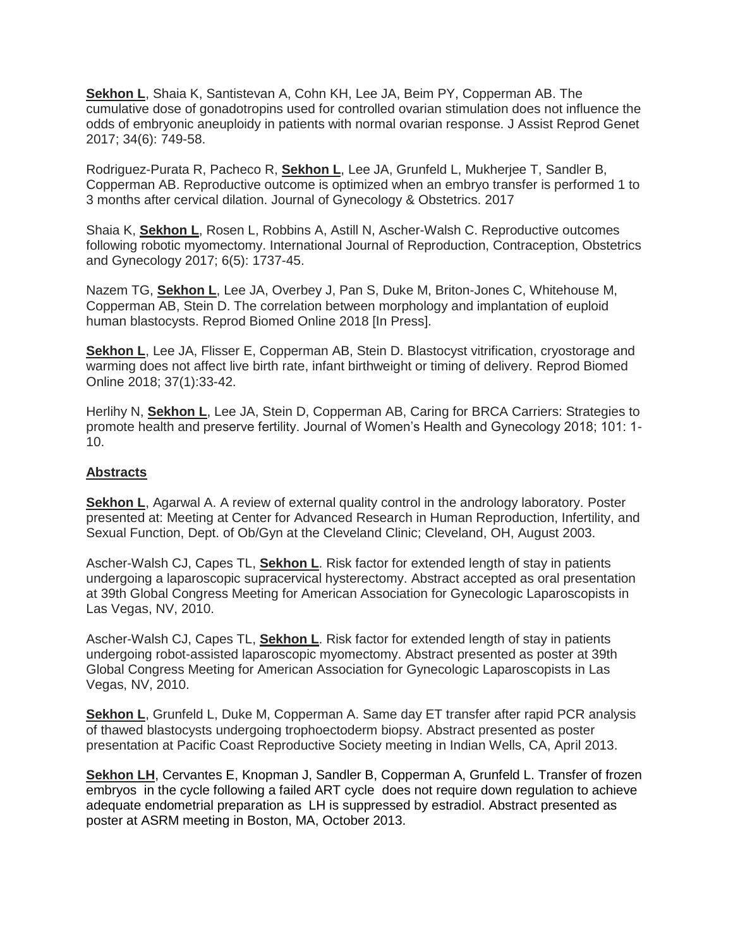**Sekhon L**, Shaia K, Santistevan A, Cohn KH, Lee JA, Beim PY, Copperman AB. The cumulative dose of gonadotropins used for controlled ovarian stimulation does not influence the odds of embryonic aneuploidy in patients with normal ovarian response. J Assist Reprod Genet 2017; 34(6): 749-58.

Rodriguez-Purata R, Pacheco R, **Sekhon L**, Lee JA, Grunfeld L, Mukherjee T, Sandler B, Copperman AB. Reproductive outcome is optimized when an embryo transfer is performed 1 to 3 months after cervical dilation. Journal of Gynecology & Obstetrics. 2017

Shaia K, **Sekhon L**, Rosen L, Robbins A, Astill N, Ascher-Walsh C. Reproductive outcomes following robotic myomectomy. International Journal of Reproduction, Contraception, Obstetrics and Gynecology 2017; 6(5): 1737-45.

Nazem TG, **Sekhon L**, Lee JA, Overbey J, Pan S, Duke M, Briton-Jones C, Whitehouse M, Copperman AB, Stein D. The correlation between morphology and implantation of euploid human blastocysts. Reprod Biomed Online 2018 [In Press].

**Sekhon L**, Lee JA, Flisser E, Copperman AB, Stein D. Blastocyst vitrification, cryostorage and warming does not affect live birth rate, infant birthweight or timing of delivery. Reprod Biomed Online 2018; 37(1):33-42.

Herlihy N, **Sekhon L**, Lee JA, Stein D, Copperman AB, Caring for BRCA Carriers: Strategies to promote health and preserve fertility. Journal of Women's Health and Gynecology 2018; 101: 1- 10.

## **Abstracts**

**Sekhon L**, Agarwal A. A review of external quality control in the andrology laboratory. Poster presented at: Meeting at Center for Advanced Research in Human Reproduction, Infertility, and Sexual Function, Dept. of Ob/Gyn at the Cleveland Clinic; Cleveland, OH, August 2003.

Ascher-Walsh CJ, Capes TL, **Sekhon L**. Risk factor for extended length of stay in patients undergoing a laparoscopic supracervical hysterectomy. Abstract accepted as oral presentation at 39th Global Congress Meeting for American Association for Gynecologic Laparoscopists in Las Vegas, NV, 2010.

Ascher-Walsh CJ, Capes TL, **Sekhon L**. Risk factor for extended length of stay in patients undergoing robot-assisted laparoscopic myomectomy. Abstract presented as poster at 39th Global Congress Meeting for American Association for Gynecologic Laparoscopists in Las Vegas, NV, 2010.

**Sekhon L**, Grunfeld L, Duke M, Copperman A. Same day ET transfer after rapid PCR analysis of thawed blastocysts undergoing trophoectoderm biopsy. Abstract presented as poster presentation at Pacific Coast Reproductive Society meeting in Indian Wells, CA, April 2013.

**Sekhon LH**, Cervantes E, Knopman J, Sandler B, Copperman A, Grunfeld L. Transfer of frozen embryos in the cycle following a failed ART cycle does not require down regulation to achieve adequate endometrial preparation as LH is suppressed by estradiol. Abstract presented as poster at ASRM meeting in Boston, MA, October 2013.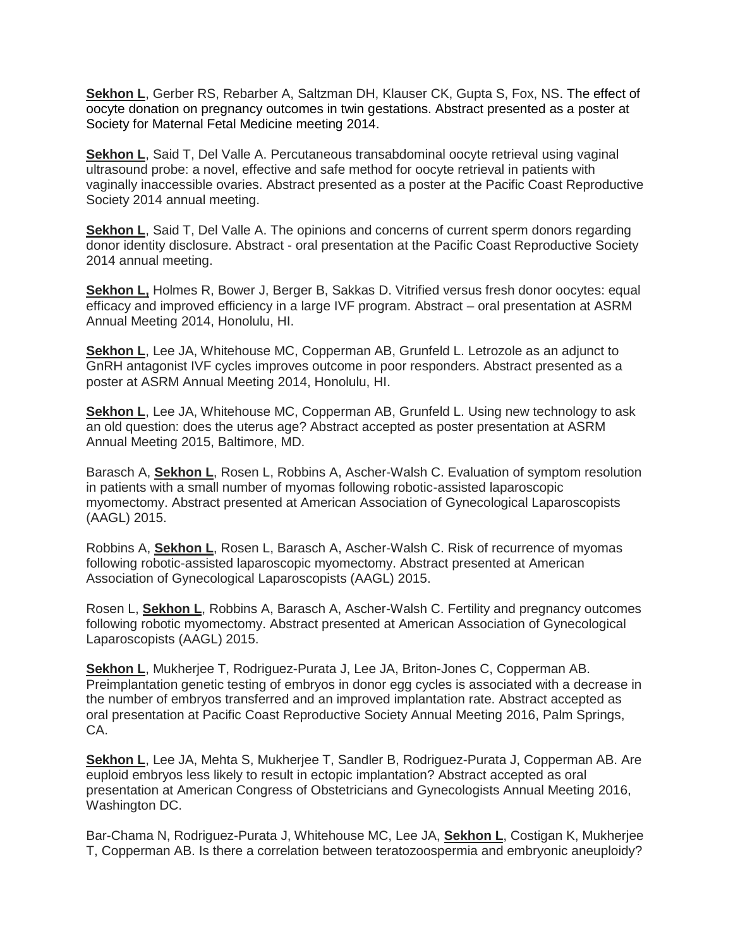**Sekhon L**, Gerber RS, Rebarber A, Saltzman DH, Klauser CK, Gupta S, Fox, NS. The effect of oocyte donation on pregnancy outcomes in twin gestations. Abstract presented as a poster at Society for Maternal Fetal Medicine meeting 2014.

**Sekhon L**, Said T, Del Valle A. Percutaneous transabdominal oocyte retrieval using vaginal ultrasound probe: a novel, effective and safe method for oocyte retrieval in patients with vaginally inaccessible ovaries. Abstract presented as a poster at the Pacific Coast Reproductive Society 2014 annual meeting.

**Sekhon L**, Said T, Del Valle A. The opinions and concerns of current sperm donors regarding donor identity disclosure. Abstract - oral presentation at the Pacific Coast Reproductive Society 2014 annual meeting.

**Sekhon L,** Holmes R, Bower J, Berger B, Sakkas D. Vitrified versus fresh donor oocytes: equal efficacy and improved efficiency in a large IVF program. Abstract – oral presentation at ASRM Annual Meeting 2014, Honolulu, HI.

**Sekhon L**, Lee JA, Whitehouse MC, Copperman AB, Grunfeld L. Letrozole as an adjunct to GnRH antagonist IVF cycles improves outcome in poor responders. Abstract presented as a poster at ASRM Annual Meeting 2014, Honolulu, HI.

**Sekhon L**, Lee JA, Whitehouse MC, Copperman AB, Grunfeld L. Using new technology to ask an old question: does the uterus age? Abstract accepted as poster presentation at ASRM Annual Meeting 2015, Baltimore, MD.

Barasch A, **Sekhon L**, Rosen L, Robbins A, Ascher-Walsh C. Evaluation of symptom resolution in patients with a small number of myomas following robotic-assisted laparoscopic myomectomy. Abstract presented at American Association of Gynecological Laparoscopists (AAGL) 2015.

Robbins A, **Sekhon L**, Rosen L, Barasch A, Ascher-Walsh C. Risk of recurrence of myomas following robotic-assisted laparoscopic myomectomy. Abstract presented at American Association of Gynecological Laparoscopists (AAGL) 2015.

Rosen L, **Sekhon L**, Robbins A, Barasch A, Ascher-Walsh C. Fertility and pregnancy outcomes following robotic myomectomy. Abstract presented at American Association of Gynecological Laparoscopists (AAGL) 2015.

**Sekhon L**, Mukherjee T, Rodriguez-Purata J, Lee JA, Briton-Jones C, Copperman AB. Preimplantation genetic testing of embryos in donor egg cycles is associated with a decrease in the number of embryos transferred and an improved implantation rate. Abstract accepted as oral presentation at Pacific Coast Reproductive Society Annual Meeting 2016, Palm Springs, CA.

**Sekhon L**, Lee JA, Mehta S, Mukherjee T, Sandler B, Rodriguez-Purata J, Copperman AB. Are euploid embryos less likely to result in ectopic implantation? Abstract accepted as oral presentation at American Congress of Obstetricians and Gynecologists Annual Meeting 2016, Washington DC.

Bar-Chama N, Rodriguez-Purata J, Whitehouse MC, Lee JA, **Sekhon L**, Costigan K, Mukherjee T, Copperman AB. Is there a correlation between teratozoospermia and embryonic aneuploidy?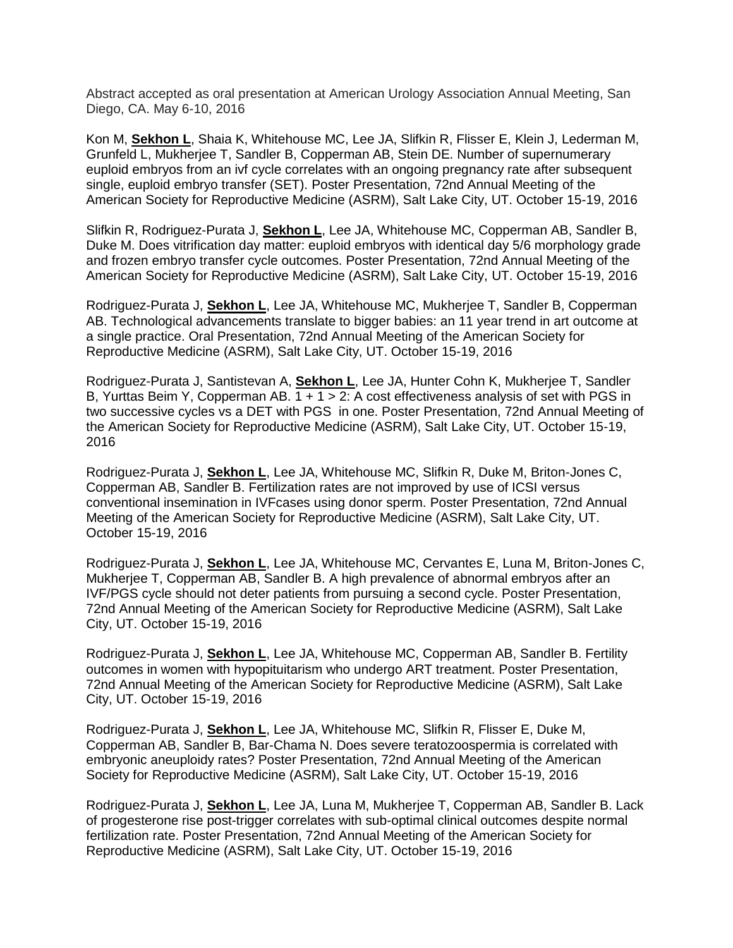Abstract accepted as oral presentation at American Urology Association Annual Meeting, San Diego, CA. May 6-10, 2016

Kon M, **Sekhon L**, Shaia K, Whitehouse MC, Lee JA, Slifkin R, Flisser E, Klein J, Lederman M, Grunfeld L, Mukherjee T, Sandler B, Copperman AB, Stein DE. Number of supernumerary euploid embryos from an ivf cycle correlates with an ongoing pregnancy rate after subsequent single, euploid embryo transfer (SET). Poster Presentation, 72nd Annual Meeting of the American Society for Reproductive Medicine (ASRM), Salt Lake City, UT. October 15-19, 2016

Slifkin R, Rodriguez-Purata J, **Sekhon L**, Lee JA, Whitehouse MC, Copperman AB, Sandler B, Duke M. Does vitrification day matter: euploid embryos with identical day 5/6 morphology grade and frozen embryo transfer cycle outcomes. Poster Presentation, 72nd Annual Meeting of the American Society for Reproductive Medicine (ASRM), Salt Lake City, UT. October 15-19, 2016

Rodriguez-Purata J, **Sekhon L**, Lee JA, Whitehouse MC, Mukherjee T, Sandler B, Copperman AB. Technological advancements translate to bigger babies: an 11 year trend in art outcome at a single practice. Oral Presentation, 72nd Annual Meeting of the American Society for Reproductive Medicine (ASRM), Salt Lake City, UT. October 15-19, 2016

Rodriguez-Purata J, Santistevan A, **Sekhon L**, Lee JA, Hunter Cohn K, Mukherjee T, Sandler B, Yurttas Beim Y, Copperman AB.  $\overline{1 + 1} > 2$ : A cost effectiveness analysis of set with PGS in two successive cycles vs a DET with PGS in one. Poster Presentation, 72nd Annual Meeting of the American Society for Reproductive Medicine (ASRM), Salt Lake City, UT. October 15-19, 2016

Rodriguez-Purata J, **Sekhon L**, Lee JA, Whitehouse MC, Slifkin R, Duke M, Briton-Jones C, Copperman AB, Sandler B. Fertilization rates are not improved by use of ICSI versus conventional insemination in IVFcases using donor sperm. Poster Presentation, 72nd Annual Meeting of the American Society for Reproductive Medicine (ASRM), Salt Lake City, UT. October 15-19, 2016

Rodriguez-Purata J, **Sekhon L**, Lee JA, Whitehouse MC, Cervantes E, Luna M, Briton-Jones C, Mukherjee T, Copperman AB, Sandler B. A high prevalence of abnormal embryos after an IVF/PGS cycle should not deter patients from pursuing a second cycle. Poster Presentation, 72nd Annual Meeting of the American Society for Reproductive Medicine (ASRM), Salt Lake City, UT. October 15-19, 2016

Rodriguez-Purata J, **Sekhon L**, Lee JA, Whitehouse MC, Copperman AB, Sandler B. Fertility outcomes in women with hypopituitarism who undergo ART treatment. Poster Presentation, 72nd Annual Meeting of the American Society for Reproductive Medicine (ASRM), Salt Lake City, UT. October 15-19, 2016

Rodriguez-Purata J, **Sekhon L**, Lee JA, Whitehouse MC, Slifkin R, Flisser E, Duke M, Copperman AB, Sandler B, Bar-Chama N. Does severe teratozoospermia is correlated with embryonic aneuploidy rates? Poster Presentation, 72nd Annual Meeting of the American Society for Reproductive Medicine (ASRM), Salt Lake City, UT. October 15-19, 2016

Rodriguez-Purata J, **Sekhon L**, Lee JA, Luna M, Mukherjee T, Copperman AB, Sandler B. Lack of progesterone rise post-trigger correlates with sub-optimal clinical outcomes despite normal fertilization rate. Poster Presentation, 72nd Annual Meeting of the American Society for Reproductive Medicine (ASRM), Salt Lake City, UT. October 15-19, 2016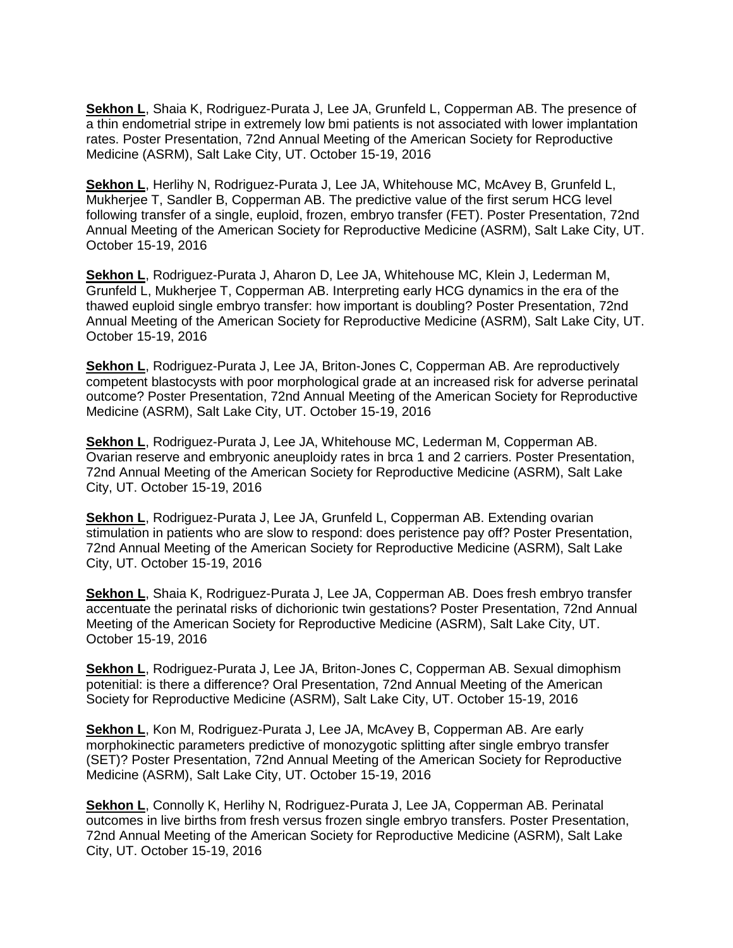**Sekhon L**, Shaia K, Rodriguez-Purata J, Lee JA, Grunfeld L, Copperman AB. The presence of a thin endometrial stripe in extremely low bmi patients is not associated with lower implantation rates. Poster Presentation, 72nd Annual Meeting of the American Society for Reproductive Medicine (ASRM), Salt Lake City, UT. October 15-19, 2016

Sekhon L, Herlihy N, Rodriguez-Purata J, Lee JA, Whitehouse MC, McAvey B, Grunfeld L, Mukherjee T, Sandler B, Copperman AB. The predictive value of the first serum HCG level following transfer of a single, euploid, frozen, embryo transfer (FET). Poster Presentation, 72nd Annual Meeting of the American Society for Reproductive Medicine (ASRM), Salt Lake City, UT. October 15-19, 2016

**Sekhon L**, Rodriguez-Purata J, Aharon D, Lee JA, Whitehouse MC, Klein J, Lederman M, Grunfeld L, Mukherjee T, Copperman AB. Interpreting early HCG dynamics in the era of the thawed euploid single embryo transfer: how important is doubling? Poster Presentation, 72nd Annual Meeting of the American Society for Reproductive Medicine (ASRM), Salt Lake City, UT. October 15-19, 2016

**Sekhon L**, Rodriguez-Purata J, Lee JA, Briton-Jones C, Copperman AB. Are reproductively competent blastocysts with poor morphological grade at an increased risk for adverse perinatal outcome? Poster Presentation, 72nd Annual Meeting of the American Society for Reproductive Medicine (ASRM), Salt Lake City, UT. October 15-19, 2016

**Sekhon L**, Rodriguez-Purata J, Lee JA, Whitehouse MC, Lederman M, Copperman AB. Ovarian reserve and embryonic aneuploidy rates in brca 1 and 2 carriers. Poster Presentation, 72nd Annual Meeting of the American Society for Reproductive Medicine (ASRM), Salt Lake City, UT. October 15-19, 2016

**Sekhon L**, Rodriguez-Purata J, Lee JA, Grunfeld L, Copperman AB. Extending ovarian stimulation in patients who are slow to respond: does peristence pay off? Poster Presentation, 72nd Annual Meeting of the American Society for Reproductive Medicine (ASRM), Salt Lake City, UT. October 15-19, 2016

**Sekhon L**, Shaia K, Rodriguez-Purata J, Lee JA, Copperman AB. Does fresh embryo transfer accentuate the perinatal risks of dichorionic twin gestations? Poster Presentation, 72nd Annual Meeting of the American Society for Reproductive Medicine (ASRM), Salt Lake City, UT. October 15-19, 2016

**Sekhon L**, Rodriguez-Purata J, Lee JA, Briton-Jones C, Copperman AB. Sexual dimophism potenitial: is there a difference? Oral Presentation, 72nd Annual Meeting of the American Society for Reproductive Medicine (ASRM), Salt Lake City, UT. October 15-19, 2016

**Sekhon L**, Kon M, Rodriguez-Purata J, Lee JA, McAvey B, Copperman AB. Are early morphokinectic parameters predictive of monozygotic splitting after single embryo transfer (SET)? Poster Presentation, 72nd Annual Meeting of the American Society for Reproductive Medicine (ASRM), Salt Lake City, UT. October 15-19, 2016

**Sekhon L**, Connolly K, Herlihy N, Rodriguez-Purata J, Lee JA, Copperman AB. Perinatal outcomes in live births from fresh versus frozen single embryo transfers. Poster Presentation, 72nd Annual Meeting of the American Society for Reproductive Medicine (ASRM), Salt Lake City, UT. October 15-19, 2016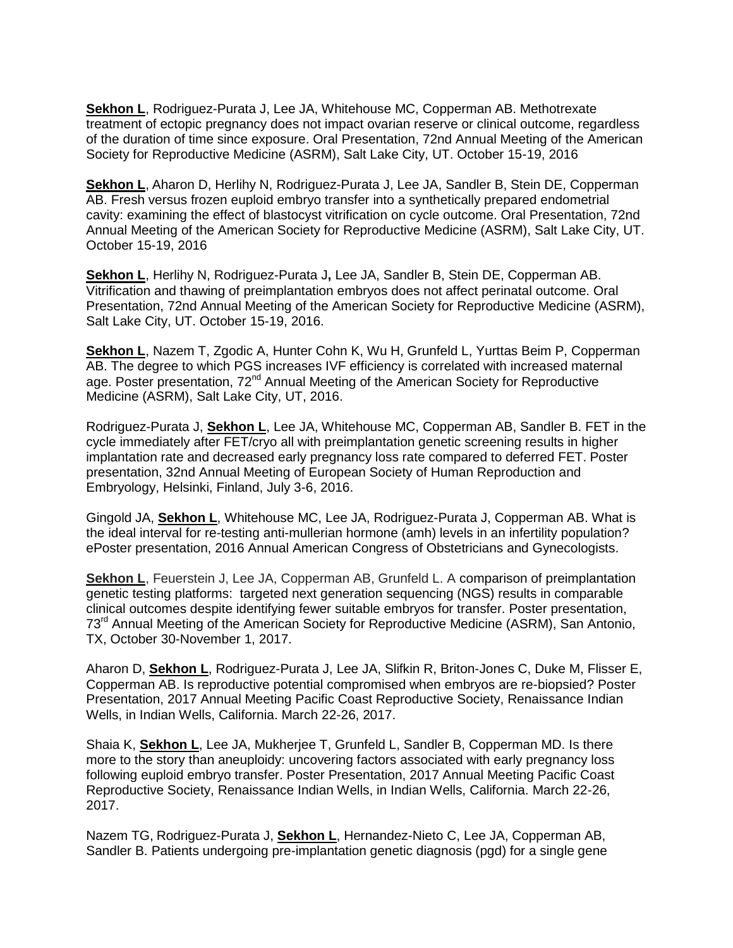**Sekhon L**, Rodriguez-Purata J, Lee JA, Whitehouse MC, Copperman AB. Methotrexate treatment of ectopic pregnancy does not impact ovarian reserve or clinical outcome, regardless of the duration of time since exposure. Oral Presentation, 72nd Annual Meeting of the American Society for Reproductive Medicine (ASRM), Salt Lake City, UT. October 15-19, 2016

**Sekhon L**, Aharon D, Herlihy N, Rodriguez-Purata J, Lee JA, Sandler B, Stein DE, Copperman AB. Fresh versus frozen euploid embryo transfer into a synthetically prepared endometrial cavity: examining the effect of blastocyst vitrification on cycle outcome. Oral Presentation, 72nd Annual Meeting of the American Society for Reproductive Medicine (ASRM), Salt Lake City, UT. October 15-19, 2016

**Sekhon L**, Herlihy N, Rodriguez-Purata J**,** Lee JA, Sandler B, Stein DE, Copperman AB. Vitrification and thawing of preimplantation embryos does not affect perinatal outcome. Oral Presentation, 72nd Annual Meeting of the American Society for Reproductive Medicine (ASRM), Salt Lake City, UT. October 15-19, 2016.

**Sekhon L**, Nazem T, Zgodic A, Hunter Cohn K, Wu H, Grunfeld L, Yurttas Beim P, Copperman AB. The degree to which PGS increases IVF efficiency is correlated with increased maternal age. Poster presentation, 72<sup>nd</sup> Annual Meeting of the American Society for Reproductive Medicine (ASRM), Salt Lake City, UT, 2016.

Rodriguez-Purata J, **Sekhon L**, Lee JA, Whitehouse MC, Copperman AB, Sandler B. FET in the cycle immediately after FET/cryo all with preimplantation genetic screening results in higher implantation rate and decreased early pregnancy loss rate compared to deferred FET. Poster presentation, 32nd Annual Meeting of European Society of Human Reproduction and Embryology, Helsinki, Finland, July 3-6, 2016.

Gingold JA, **Sekhon L**, Whitehouse MC, Lee JA, Rodriguez-Purata J, Copperman AB. What is the ideal interval for re-testing anti-mullerian hormone (amh) levels in an infertility population? ePoster presentation, 2016 Annual American Congress of Obstetricians and Gynecologists.

**Sekhon L**, Feuerstein J, Lee JA, Copperman AB, Grunfeld L. A comparison of preimplantation genetic testing platforms: targeted next generation sequencing (NGS) results in comparable clinical outcomes despite identifying fewer suitable embryos for transfer. Poster presentation, 73<sup>rd</sup> Annual Meeting of the American Society for Reproductive Medicine (ASRM), San Antonio, TX, October 30-November 1, 2017.

Aharon D, **Sekhon L**, Rodriguez-Purata J, Lee JA, Slifkin R, Briton-Jones C, Duke M, Flisser E, Copperman AB. Is reproductive potential compromised when embryos are re-biopsied? Poster Presentation, 2017 Annual Meeting Pacific Coast Reproductive Society, Renaissance Indian Wells, in Indian Wells, California. March 22-26, 2017.

Shaia K, **Sekhon L**, Lee JA, Mukherjee T, Grunfeld L, Sandler B, Copperman MD. Is there more to the story than aneuploidy: uncovering factors associated with early pregnancy loss following euploid embryo transfer. Poster Presentation, 2017 Annual Meeting Pacific Coast Reproductive Society, Renaissance Indian Wells, in Indian Wells, California. March 22-26, 2017.

Nazem TG, Rodriguez-Purata J, **Sekhon L**, Hernandez-Nieto C, Lee JA, Copperman AB, Sandler B. Patients undergoing pre-implantation genetic diagnosis (pgd) for a single gene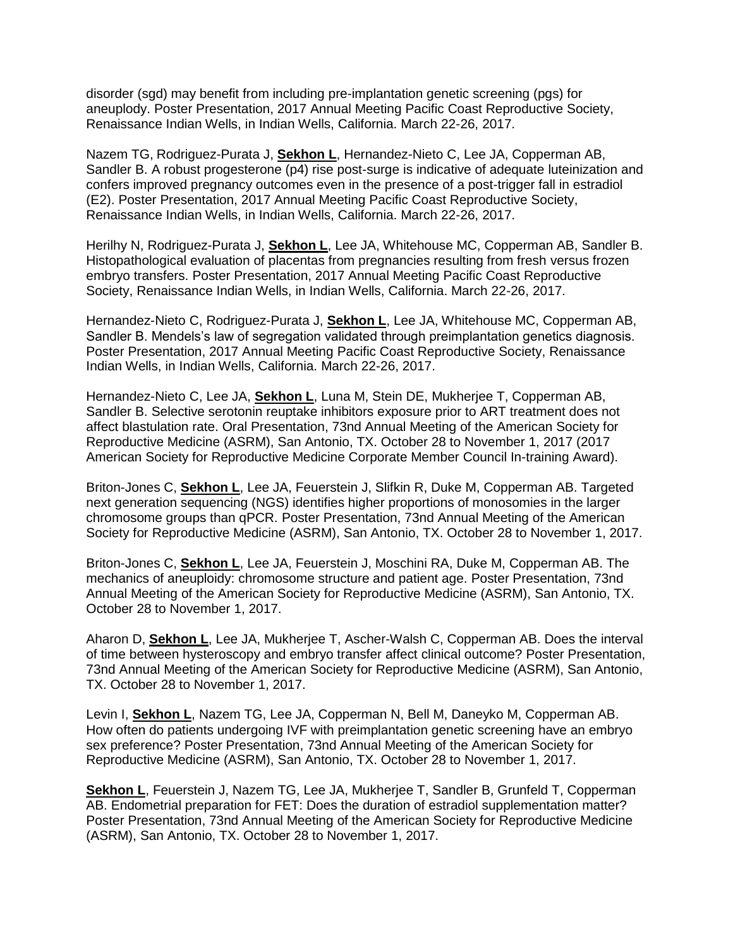disorder (sgd) may benefit from including pre-implantation genetic screening (pgs) for aneuplody. Poster Presentation, 2017 Annual Meeting Pacific Coast Reproductive Society, Renaissance Indian Wells, in Indian Wells, California. March 22-26, 2017.

Nazem TG, Rodriguez-Purata J, **Sekhon L**, Hernandez-Nieto C, Lee JA, Copperman AB, Sandler B. A robust progesterone (p4) rise post-surge is indicative of adequate luteinization and confers improved pregnancy outcomes even in the presence of a post-trigger fall in estradiol (E2). Poster Presentation, 2017 Annual Meeting Pacific Coast Reproductive Society, Renaissance Indian Wells, in Indian Wells, California. March 22-26, 2017.

Herilhy N, Rodriguez-Purata J, **Sekhon L**, Lee JA, Whitehouse MC, Copperman AB, Sandler B. Histopathological evaluation of placentas from pregnancies resulting from fresh versus frozen embryo transfers. Poster Presentation, 2017 Annual Meeting Pacific Coast Reproductive Society, Renaissance Indian Wells, in Indian Wells, California. March 22-26, 2017.

Hernandez-Nieto C, Rodriguez-Purata J, **Sekhon L**, Lee JA, Whitehouse MC, Copperman AB, Sandler B. Mendels's law of segregation validated through preimplantation genetics diagnosis. Poster Presentation, 2017 Annual Meeting Pacific Coast Reproductive Society, Renaissance Indian Wells, in Indian Wells, California. March 22-26, 2017.

Hernandez-Nieto C, Lee JA, **Sekhon L**, Luna M, Stein DE, Mukherjee T, Copperman AB, Sandler B. Selective serotonin reuptake inhibitors exposure prior to ART treatment does not affect blastulation rate. Oral Presentation, 73nd Annual Meeting of the American Society for Reproductive Medicine (ASRM), San Antonio, TX. October 28 to November 1, 2017 (2017 American Society for Reproductive Medicine Corporate Member Council In-training Award).

Briton-Jones C, **Sekhon L**, Lee JA, Feuerstein J, Slifkin R, Duke M, Copperman AB. Targeted next generation sequencing (NGS) identifies higher proportions of monosomies in the larger chromosome groups than qPCR. Poster Presentation, 73nd Annual Meeting of the American Society for Reproductive Medicine (ASRM), San Antonio, TX. October 28 to November 1, 2017.

Briton-Jones C, **Sekhon L**, Lee JA, Feuerstein J, Moschini RA, Duke M, Copperman AB. The mechanics of aneuploidy: chromosome structure and patient age. Poster Presentation, 73nd Annual Meeting of the American Society for Reproductive Medicine (ASRM), San Antonio, TX. October 28 to November 1, 2017.

Aharon D, **Sekhon L**, Lee JA, Mukherjee T, Ascher-Walsh C, Copperman AB. Does the interval of time between hysteroscopy and embryo transfer affect clinical outcome? Poster Presentation, 73nd Annual Meeting of the American Society for Reproductive Medicine (ASRM), San Antonio, TX. October 28 to November 1, 2017.

Levin I, **Sekhon L**, Nazem TG, Lee JA, Copperman N, Bell M, Daneyko M, Copperman AB. How often do patients undergoing IVF with preimplantation genetic screening have an embryo sex preference? Poster Presentation, 73nd Annual Meeting of the American Society for Reproductive Medicine (ASRM), San Antonio, TX. October 28 to November 1, 2017.

**Sekhon L**, Feuerstein J, Nazem TG, Lee JA, Mukherjee T, Sandler B, Grunfeld T, Copperman AB. Endometrial preparation for FET: Does the duration of estradiol supplementation matter? Poster Presentation, 73nd Annual Meeting of the American Society for Reproductive Medicine (ASRM), San Antonio, TX. October 28 to November 1, 2017.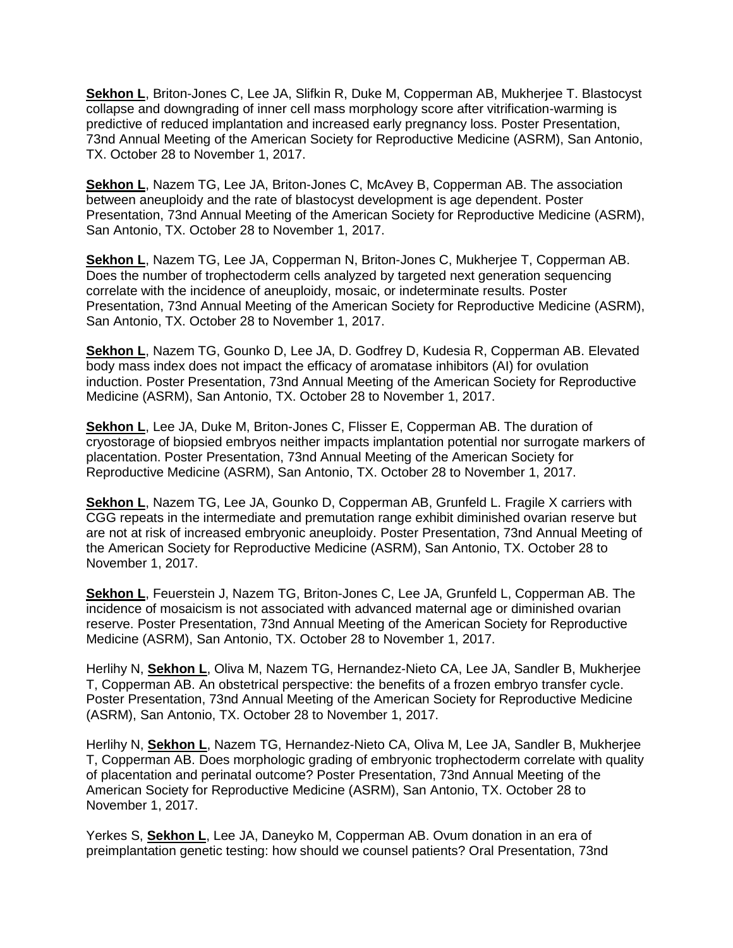**Sekhon L**, Briton-Jones C, Lee JA, Slifkin R, Duke M, Copperman AB, Mukherjee T. Blastocyst collapse and downgrading of inner cell mass morphology score after vitrification-warming is predictive of reduced implantation and increased early pregnancy loss. Poster Presentation, 73nd Annual Meeting of the American Society for Reproductive Medicine (ASRM), San Antonio, TX. October 28 to November 1, 2017.

**Sekhon L**, Nazem TG, Lee JA, Briton-Jones C, McAvey B, Copperman AB. The association between aneuploidy and the rate of blastocyst development is age dependent. Poster Presentation, 73nd Annual Meeting of the American Society for Reproductive Medicine (ASRM), San Antonio, TX. October 28 to November 1, 2017.

**Sekhon L**, Nazem TG, Lee JA, Copperman N, Briton-Jones C, Mukherjee T, Copperman AB. Does the number of trophectoderm cells analyzed by targeted next generation sequencing correlate with the incidence of aneuploidy, mosaic, or indeterminate results. Poster Presentation, 73nd Annual Meeting of the American Society for Reproductive Medicine (ASRM), San Antonio, TX. October 28 to November 1, 2017.

**Sekhon L**, Nazem TG, Gounko D, Lee JA, D. Godfrey D, Kudesia R, Copperman AB. Elevated body mass index does not impact the efficacy of aromatase inhibitors (AI) for ovulation induction. Poster Presentation, 73nd Annual Meeting of the American Society for Reproductive Medicine (ASRM), San Antonio, TX. October 28 to November 1, 2017.

**Sekhon L**, Lee JA, Duke M, Briton-Jones C, Flisser E, Copperman AB. The duration of cryostorage of biopsied embryos neither impacts implantation potential nor surrogate markers of placentation. Poster Presentation, 73nd Annual Meeting of the American Society for Reproductive Medicine (ASRM), San Antonio, TX. October 28 to November 1, 2017.

**Sekhon L**, Nazem TG, Lee JA, Gounko D, Copperman AB, Grunfeld L. Fragile X carriers with CGG repeats in the intermediate and premutation range exhibit diminished ovarian reserve but are not at risk of increased embryonic aneuploidy. Poster Presentation, 73nd Annual Meeting of the American Society for Reproductive Medicine (ASRM), San Antonio, TX. October 28 to November 1, 2017.

**Sekhon L**, Feuerstein J, Nazem TG, Briton-Jones C, Lee JA, Grunfeld L, Copperman AB. The incidence of mosaicism is not associated with advanced maternal age or diminished ovarian reserve. Poster Presentation, 73nd Annual Meeting of the American Society for Reproductive Medicine (ASRM), San Antonio, TX. October 28 to November 1, 2017.

Herlihy N, **Sekhon L**, Oliva M, Nazem TG, Hernandez-Nieto CA, Lee JA, Sandler B, Mukherjee T, Copperman AB. An obstetrical perspective: the benefits of a frozen embryo transfer cycle. Poster Presentation, 73nd Annual Meeting of the American Society for Reproductive Medicine (ASRM), San Antonio, TX. October 28 to November 1, 2017.

Herlihy N, **Sekhon L**, Nazem TG, Hernandez-Nieto CA, Oliva M, Lee JA, Sandler B, Mukherjee T, Copperman AB. Does morphologic grading of embryonic trophectoderm correlate with quality of placentation and perinatal outcome? Poster Presentation, 73nd Annual Meeting of the American Society for Reproductive Medicine (ASRM), San Antonio, TX. October 28 to November 1, 2017.

Yerkes S, **Sekhon L**, Lee JA, Daneyko M, Copperman AB. Ovum donation in an era of preimplantation genetic testing: how should we counsel patients? Oral Presentation, 73nd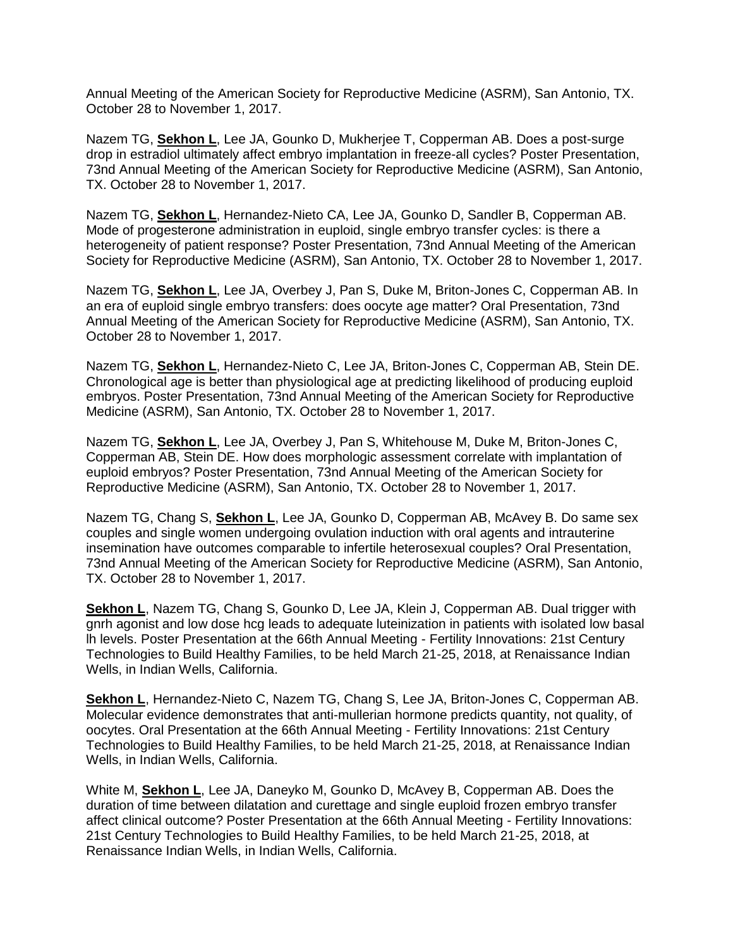Annual Meeting of the American Society for Reproductive Medicine (ASRM), San Antonio, TX. October 28 to November 1, 2017.

Nazem TG, **Sekhon L**, Lee JA, Gounko D, Mukherjee T, Copperman AB. Does a post-surge drop in estradiol ultimately affect embryo implantation in freeze-all cycles? Poster Presentation, 73nd Annual Meeting of the American Society for Reproductive Medicine (ASRM), San Antonio, TX. October 28 to November 1, 2017.

Nazem TG, **Sekhon L**, Hernandez-Nieto CA, Lee JA, Gounko D, Sandler B, Copperman AB. Mode of progesterone administration in euploid, single embryo transfer cycles: is there a heterogeneity of patient response? Poster Presentation, 73nd Annual Meeting of the American Society for Reproductive Medicine (ASRM), San Antonio, TX. October 28 to November 1, 2017.

Nazem TG, **Sekhon L**, Lee JA, Overbey J, Pan S, Duke M, Briton-Jones C, Copperman AB. In an era of euploid single embryo transfers: does oocyte age matter? Oral Presentation, 73nd Annual Meeting of the American Society for Reproductive Medicine (ASRM), San Antonio, TX. October 28 to November 1, 2017.

Nazem TG, **Sekhon L**, Hernandez-Nieto C, Lee JA, Briton-Jones C, Copperman AB, Stein DE. Chronological age is better than physiological age at predicting likelihood of producing euploid embryos. Poster Presentation, 73nd Annual Meeting of the American Society for Reproductive Medicine (ASRM), San Antonio, TX. October 28 to November 1, 2017.

Nazem TG, **Sekhon L**, Lee JA, Overbey J, Pan S, Whitehouse M, Duke M, Briton-Jones C, Copperman AB, Stein DE. How does morphologic assessment correlate with implantation of euploid embryos? Poster Presentation, 73nd Annual Meeting of the American Society for Reproductive Medicine (ASRM), San Antonio, TX. October 28 to November 1, 2017.

Nazem TG, Chang S, **Sekhon L**, Lee JA, Gounko D, Copperman AB, McAvey B. Do same sex couples and single women undergoing ovulation induction with oral agents and intrauterine insemination have outcomes comparable to infertile heterosexual couples? Oral Presentation, 73nd Annual Meeting of the American Society for Reproductive Medicine (ASRM), San Antonio, TX. October 28 to November 1, 2017.

**Sekhon L**, Nazem TG, Chang S, Gounko D, Lee JA, Klein J, Copperman AB. Dual trigger with gnrh agonist and low dose hcg leads to adequate luteinization in patients with isolated low basal lh levels. Poster Presentation at the 66th Annual Meeting - Fertility Innovations: 21st Century Technologies to Build Healthy Families, to be held March 21-25, 2018, at Renaissance Indian Wells, in Indian Wells, California.

**Sekhon L**, Hernandez-Nieto C, Nazem TG, Chang S, Lee JA, Briton-Jones C, Copperman AB. Molecular evidence demonstrates that anti-mullerian hormone predicts quantity, not quality, of oocytes. Oral Presentation at the 66th Annual Meeting - Fertility Innovations: 21st Century Technologies to Build Healthy Families, to be held March 21-25, 2018, at Renaissance Indian Wells, in Indian Wells, California.

White M, **Sekhon L**, Lee JA, Daneyko M, Gounko D, McAvey B, Copperman AB. Does the duration of time between dilatation and curettage and single euploid frozen embryo transfer affect clinical outcome? Poster Presentation at the 66th Annual Meeting - Fertility Innovations: 21st Century Technologies to Build Healthy Families, to be held March 21-25, 2018, at Renaissance Indian Wells, in Indian Wells, California.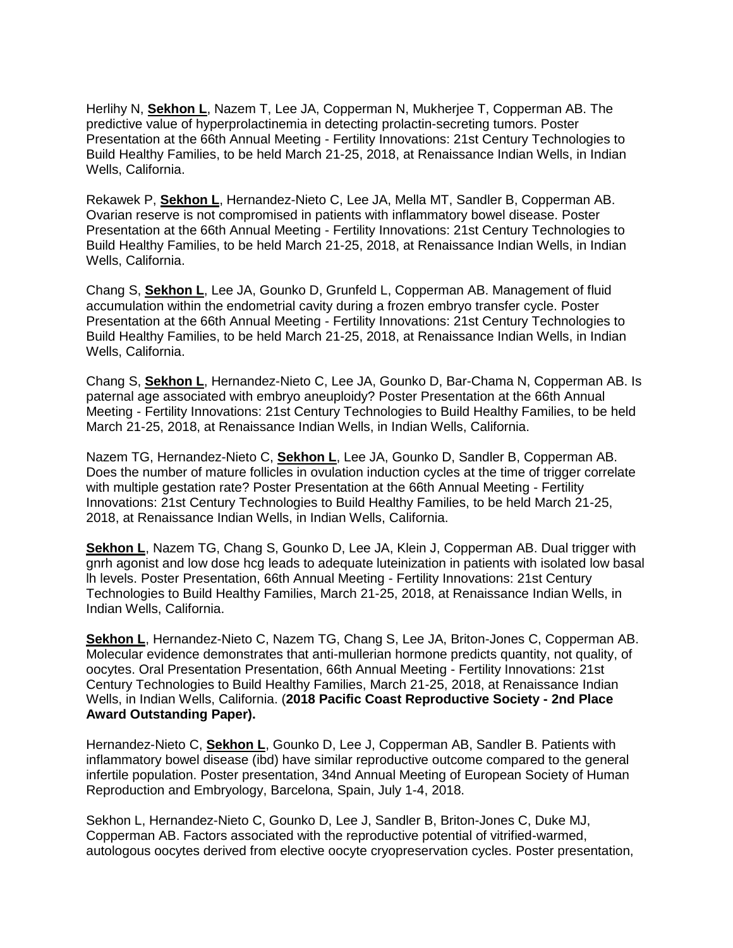Herlihy N, **Sekhon L**, Nazem T, Lee JA, Copperman N, Mukherjee T, Copperman AB. The predictive value of hyperprolactinemia in detecting prolactin-secreting tumors. Poster Presentation at the 66th Annual Meeting - Fertility Innovations: 21st Century Technologies to Build Healthy Families, to be held March 21-25, 2018, at Renaissance Indian Wells, in Indian Wells, California.

Rekawek P, **Sekhon L**, Hernandez-Nieto C, Lee JA, Mella MT, Sandler B, Copperman AB. Ovarian reserve is not compromised in patients with inflammatory bowel disease. Poster Presentation at the 66th Annual Meeting - Fertility Innovations: 21st Century Technologies to Build Healthy Families, to be held March 21-25, 2018, at Renaissance Indian Wells, in Indian Wells, California.

Chang S, **Sekhon L**, Lee JA, Gounko D, Grunfeld L, Copperman AB. Management of fluid accumulation within the endometrial cavity during a frozen embryo transfer cycle. Poster Presentation at the 66th Annual Meeting - Fertility Innovations: 21st Century Technologies to Build Healthy Families, to be held March 21-25, 2018, at Renaissance Indian Wells, in Indian Wells, California.

Chang S, **Sekhon L**, Hernandez-Nieto C, Lee JA, Gounko D, Bar-Chama N, Copperman AB. Is paternal age associated with embryo aneuploidy? Poster Presentation at the 66th Annual Meeting - Fertility Innovations: 21st Century Technologies to Build Healthy Families, to be held March 21-25, 2018, at Renaissance Indian Wells, in Indian Wells, California.

Nazem TG, Hernandez-Nieto C, **Sekhon L**, Lee JA, Gounko D, Sandler B, Copperman AB. Does the number of mature follicles in ovulation induction cycles at the time of trigger correlate with multiple gestation rate? Poster Presentation at the 66th Annual Meeting - Fertility Innovations: 21st Century Technologies to Build Healthy Families, to be held March 21-25, 2018, at Renaissance Indian Wells, in Indian Wells, California.

**Sekhon L**, Nazem TG, Chang S, Gounko D, Lee JA, Klein J, Copperman AB. Dual trigger with gnrh agonist and low dose hcg leads to adequate luteinization in patients with isolated low basal lh levels. Poster Presentation, 66th Annual Meeting - Fertility Innovations: 21st Century Technologies to Build Healthy Families, March 21-25, 2018, at Renaissance Indian Wells, in Indian Wells, California.

**Sekhon L**, Hernandez-Nieto C, Nazem TG, Chang S, Lee JA, Briton-Jones C, Copperman AB. Molecular evidence demonstrates that anti-mullerian hormone predicts quantity, not quality, of oocytes. Oral Presentation Presentation, 66th Annual Meeting - Fertility Innovations: 21st Century Technologies to Build Healthy Families, March 21-25, 2018, at Renaissance Indian Wells, in Indian Wells, California. (**2018 Pacific Coast Reproductive Society - 2nd Place Award Outstanding Paper).**

Hernandez-Nieto C, **Sekhon L**, Gounko D, Lee J, Copperman AB, Sandler B. Patients with inflammatory bowel disease (ibd) have similar reproductive outcome compared to the general infertile population. Poster presentation, 34nd Annual Meeting of European Society of Human Reproduction and Embryology, Barcelona, Spain, July 1-4, 2018.

Sekhon L, Hernandez-Nieto C, Gounko D, Lee J, Sandler B, Briton-Jones C, Duke MJ, Copperman AB. Factors associated with the reproductive potential of vitrified-warmed, autologous oocytes derived from elective oocyte cryopreservation cycles. Poster presentation,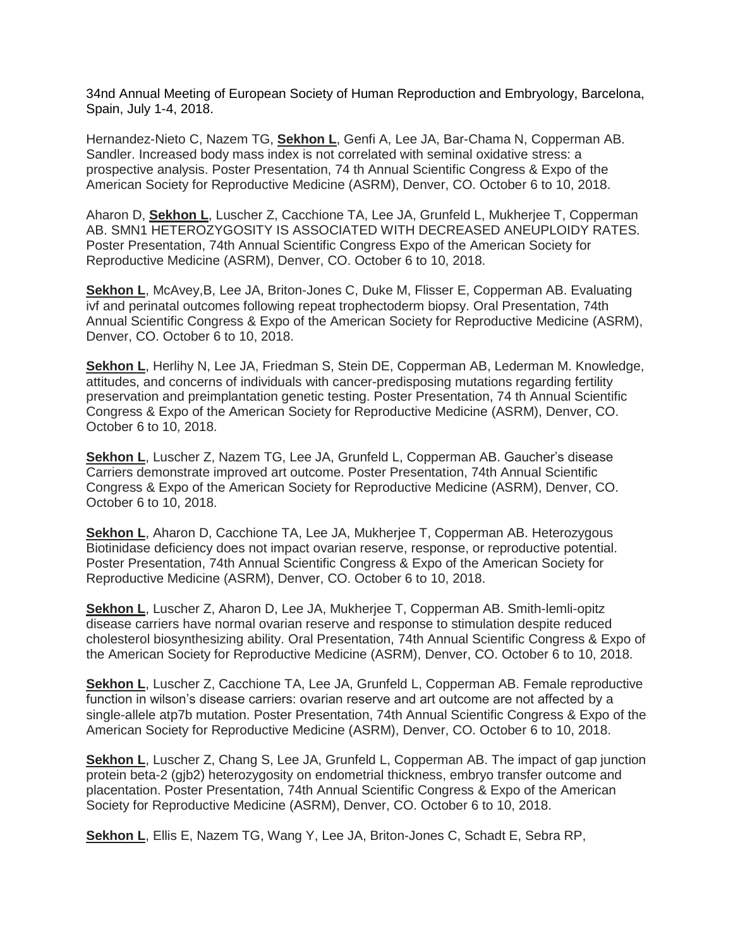34nd Annual Meeting of European Society of Human Reproduction and Embryology, Barcelona, Spain, July 1-4, 2018.

Hernandez-Nieto C, Nazem TG, **Sekhon L**, Genfi A, Lee JA, Bar-Chama N, Copperman AB. Sandler. Increased body mass index is not correlated with seminal oxidative stress: a prospective analysis. Poster Presentation, 74 th Annual Scientific Congress & Expo of the American Society for Reproductive Medicine (ASRM), Denver, CO. October 6 to 10, 2018.

Aharon D, **Sekhon L**, Luscher Z, Cacchione TA, Lee JA, Grunfeld L, Mukherjee T, Copperman AB. SMN1 HETEROZYGOSITY IS ASSOCIATED WITH DECREASED ANEUPLOIDY RATES. Poster Presentation, 74th Annual Scientific Congress Expo of the American Society for Reproductive Medicine (ASRM), Denver, CO. October 6 to 10, 2018.

**Sekhon L**, McAvey,B, Lee JA, Briton-Jones C, Duke M, Flisser E, Copperman AB. Evaluating ivf and perinatal outcomes following repeat trophectoderm biopsy. Oral Presentation, 74th Annual Scientific Congress & Expo of the American Society for Reproductive Medicine (ASRM), Denver, CO. October 6 to 10, 2018.

**Sekhon L**, Herlihy N, Lee JA, Friedman S, Stein DE, Copperman AB, Lederman M. Knowledge, attitudes, and concerns of individuals with cancer-predisposing mutations regarding fertility preservation and preimplantation genetic testing. Poster Presentation, 74 th Annual Scientific Congress & Expo of the American Society for Reproductive Medicine (ASRM), Denver, CO. October 6 to 10, 2018.

**Sekhon L**, Luscher Z, Nazem TG, Lee JA, Grunfeld L, Copperman AB. Gaucher's disease Carriers demonstrate improved art outcome. Poster Presentation, 74th Annual Scientific Congress & Expo of the American Society for Reproductive Medicine (ASRM), Denver, CO. October 6 to 10, 2018.

**Sekhon L**, Aharon D, Cacchione TA, Lee JA, Mukherjee T, Copperman AB. Heterozygous Biotinidase deficiency does not impact ovarian reserve, response, or reproductive potential. Poster Presentation, 74th Annual Scientific Congress & Expo of the American Society for Reproductive Medicine (ASRM), Denver, CO. October 6 to 10, 2018.

**Sekhon L**, Luscher Z, Aharon D, Lee JA, Mukherjee T, Copperman AB. Smith-lemli-opitz disease carriers have normal ovarian reserve and response to stimulation despite reduced cholesterol biosynthesizing ability. Oral Presentation, 74th Annual Scientific Congress & Expo of the American Society for Reproductive Medicine (ASRM), Denver, CO. October 6 to 10, 2018.

**Sekhon L**, Luscher Z, Cacchione TA, Lee JA, Grunfeld L, Copperman AB. Female reproductive function in wilson's disease carriers: ovarian reserve and art outcome are not affected by a single-allele atp7b mutation. Poster Presentation, 74th Annual Scientific Congress & Expo of the American Society for Reproductive Medicine (ASRM), Denver, CO. October 6 to 10, 2018.

**Sekhon L**, Luscher Z, Chang S, Lee JA, Grunfeld L, Copperman AB. The impact of gap junction protein beta-2 (gjb2) heterozygosity on endometrial thickness, embryo transfer outcome and placentation. Poster Presentation, 74th Annual Scientific Congress & Expo of the American Society for Reproductive Medicine (ASRM), Denver, CO. October 6 to 10, 2018.

**Sekhon L**, Ellis E, Nazem TG, Wang Y, Lee JA, Briton-Jones C, Schadt E, Sebra RP,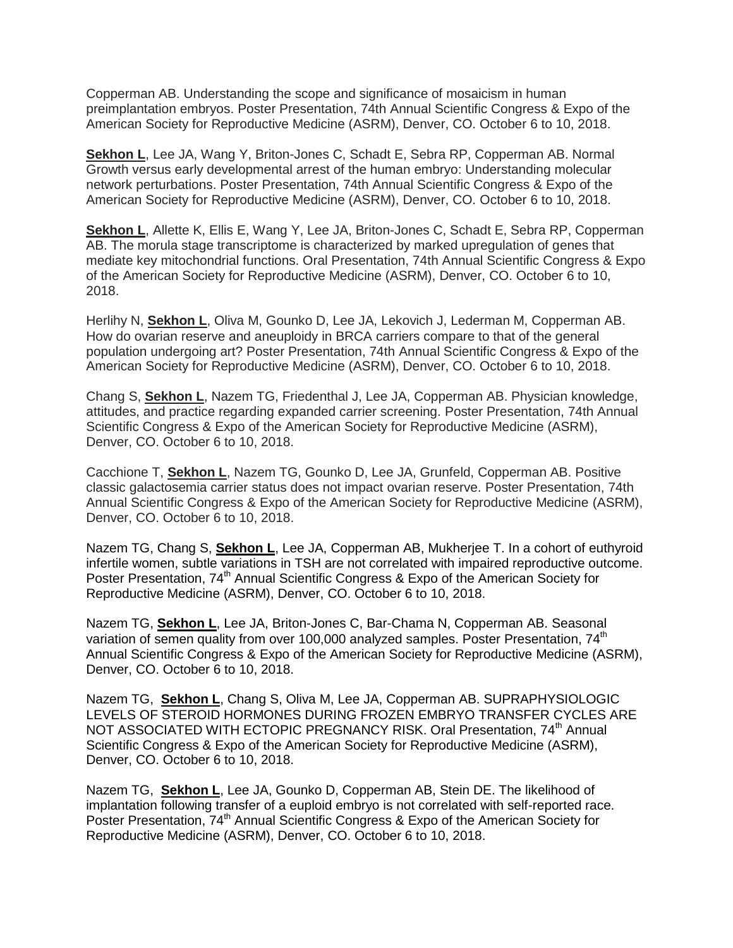Copperman AB. Understanding the scope and significance of mosaicism in human preimplantation embryos. Poster Presentation, 74th Annual Scientific Congress & Expo of the American Society for Reproductive Medicine (ASRM), Denver, CO. October 6 to 10, 2018.

**Sekhon L**, Lee JA, Wang Y, Briton-Jones C, Schadt E, Sebra RP, Copperman AB. Normal Growth versus early developmental arrest of the human embryo: Understanding molecular network perturbations. Poster Presentation, 74th Annual Scientific Congress & Expo of the American Society for Reproductive Medicine (ASRM), Denver, CO. October 6 to 10, 2018.

**Sekhon L**, Allette K, Ellis E, Wang Y, Lee JA, Briton-Jones C, Schadt E, Sebra RP, Copperman AB. The morula stage transcriptome is characterized by marked upregulation of genes that mediate key mitochondrial functions. Oral Presentation, 74th Annual Scientific Congress & Expo of the American Society for Reproductive Medicine (ASRM), Denver, CO. October 6 to 10, 2018.

Herlihy N, **Sekhon L**, Oliva M, Gounko D, Lee JA, Lekovich J, Lederman M, Copperman AB. How do ovarian reserve and aneuploidy in BRCA carriers compare to that of the general population undergoing art? Poster Presentation, 74th Annual Scientific Congress & Expo of the American Society for Reproductive Medicine (ASRM), Denver, CO. October 6 to 10, 2018.

Chang S, **Sekhon L**, Nazem TG, Friedenthal J, Lee JA, Copperman AB. Physician knowledge, attitudes, and practice regarding expanded carrier screening. Poster Presentation, 74th Annual Scientific Congress & Expo of the American Society for Reproductive Medicine (ASRM), Denver, CO. October 6 to 10, 2018.

Cacchione T, **Sekhon L**, Nazem TG, Gounko D, Lee JA, Grunfeld, Copperman AB. Positive classic galactosemia carrier status does not impact ovarian reserve. Poster Presentation, 74th Annual Scientific Congress & Expo of the American Society for Reproductive Medicine (ASRM), Denver, CO. October 6 to 10, 2018.

Nazem TG, Chang S, **Sekhon L**, Lee JA, Copperman AB, Mukherjee T. In a cohort of euthyroid infertile women, subtle variations in TSH are not correlated with impaired reproductive outcome. Poster Presentation, 74<sup>th</sup> Annual Scientific Congress & Expo of the American Society for Reproductive Medicine (ASRM), Denver, CO. October 6 to 10, 2018.

Nazem TG, **Sekhon L**, Lee JA, Briton-Jones C, Bar-Chama N, Copperman AB. Seasonal variation of semen quality from over 100,000 analyzed samples. Poster Presentation, 74<sup>th</sup> Annual Scientific Congress & Expo of the American Society for Reproductive Medicine (ASRM), Denver, CO. October 6 to 10, 2018.

Nazem TG, **Sekhon L**, Chang S, Oliva M, Lee JA, Copperman AB. SUPRAPHYSIOLOGIC LEVELS OF STEROID HORMONES DURING FROZEN EMBRYO TRANSFER CYCLES ARE NOT ASSOCIATED WITH ECTOPIC PREGNANCY RISK. Oral Presentation, 74<sup>th</sup> Annual Scientific Congress & Expo of the American Society for Reproductive Medicine (ASRM), Denver, CO. October 6 to 10, 2018.

Nazem TG, **Sekhon L**, Lee JA, Gounko D, Copperman AB, Stein DE. The likelihood of implantation following transfer of a euploid embryo is not correlated with self-reported race. Poster Presentation, 74<sup>th</sup> Annual Scientific Congress & Expo of the American Society for Reproductive Medicine (ASRM), Denver, CO. October 6 to 10, 2018.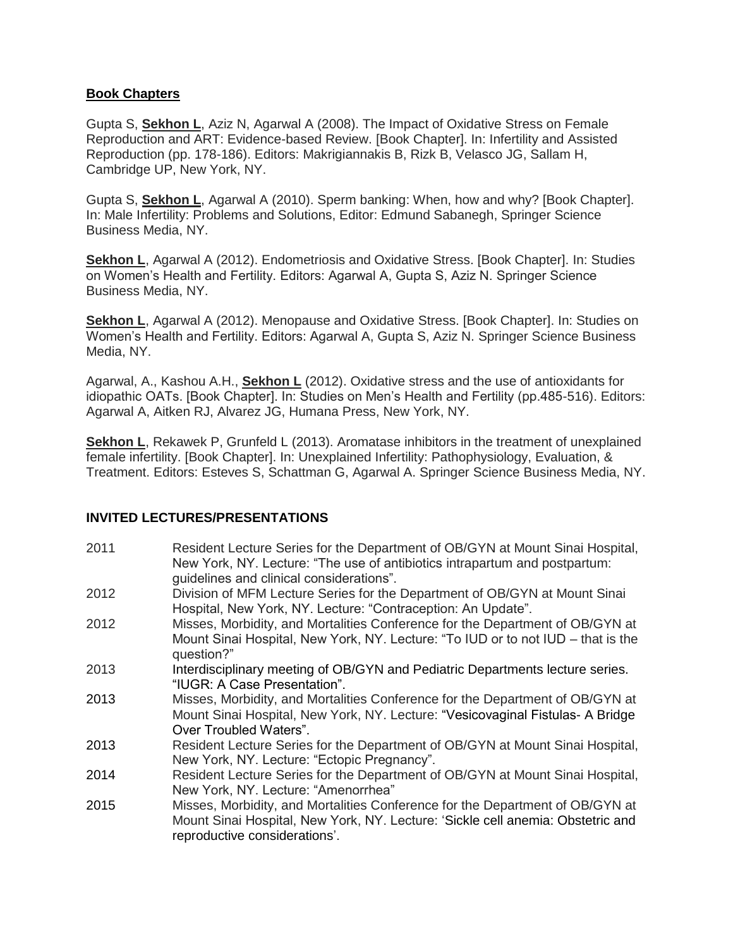## **Book Chapters**

Gupta S, **Sekhon L**, Aziz N, Agarwal A (2008). The Impact of Oxidative Stress on Female Reproduction and ART: Evidence-based Review. [Book Chapter]. In: Infertility and Assisted Reproduction (pp. 178-186). Editors: Makrigiannakis B, Rizk B, Velasco JG, Sallam H, Cambridge UP, New York, NY.

Gupta S, **Sekhon L**, Agarwal A (2010). Sperm banking: When, how and why? [Book Chapter]. In: Male Infertility: Problems and Solutions, Editor: Edmund Sabanegh, Springer Science Business Media, NY.

**Sekhon L**, Agarwal A (2012). Endometriosis and Oxidative Stress. [Book Chapter]. In: Studies on Women's Health and Fertility. Editors: Agarwal A, Gupta S, Aziz N. Springer Science Business Media, NY.

Sekhon L, Agarwal A (2012). Menopause and Oxidative Stress. [Book Chapter]. In: Studies on Women's Health and Fertility. Editors: Agarwal A, Gupta S, Aziz N. Springer Science Business Media, NY.

Agarwal, A., Kashou A.H., **Sekhon L** (2012). Oxidative stress and the use of antioxidants for idiopathic OATs. [Book Chapter]. In: Studies on Men's Health and Fertility (pp.485-516). Editors: Agarwal A, Aitken RJ, Alvarez JG, Humana Press, New York, NY.

**Sekhon L**, Rekawek P, Grunfeld L (2013). Aromatase inhibitors in the treatment of unexplained female infertility. [Book Chapter]. In: Unexplained Infertility: Pathophysiology, Evaluation, & Treatment. Editors: Esteves S, Schattman G, Agarwal A. Springer Science Business Media, NY.

## **INVITED LECTURES/PRESENTATIONS**

| 2011 | Resident Lecture Series for the Department of OB/GYN at Mount Sinai Hospital,<br>New York, NY. Lecture: "The use of antibiotics intrapartum and postpartum:                                       |
|------|---------------------------------------------------------------------------------------------------------------------------------------------------------------------------------------------------|
|      | guidelines and clinical considerations".                                                                                                                                                          |
| 2012 | Division of MFM Lecture Series for the Department of OB/GYN at Mount Sinai<br>Hospital, New York, NY. Lecture: "Contraception: An Update".                                                        |
| 2012 | Misses, Morbidity, and Mortalities Conference for the Department of OB/GYN at                                                                                                                     |
|      | Mount Sinai Hospital, New York, NY. Lecture: "To IUD or to not IUD – that is the<br>question?"                                                                                                    |
| 2013 | Interdisciplinary meeting of OB/GYN and Pediatric Departments lecture series.<br>"IUGR: A Case Presentation".                                                                                     |
| 2013 | Misses, Morbidity, and Mortalities Conference for the Department of OB/GYN at<br>Mount Sinai Hospital, New York, NY. Lecture: "Vesicovaginal Fistulas- A Bridge<br>Over Troubled Waters".         |
| 2013 | Resident Lecture Series for the Department of OB/GYN at Mount Sinai Hospital,<br>New York, NY. Lecture: "Ectopic Pregnancy".                                                                      |
| 2014 | Resident Lecture Series for the Department of OB/GYN at Mount Sinai Hospital,<br>New York, NY. Lecture: "Amenorrhea"                                                                              |
| 2015 | Misses, Morbidity, and Mortalities Conference for the Department of OB/GYN at<br>Mount Sinai Hospital, New York, NY. Lecture: 'Sickle cell anemia: Obstetric and<br>reproductive considerations'. |